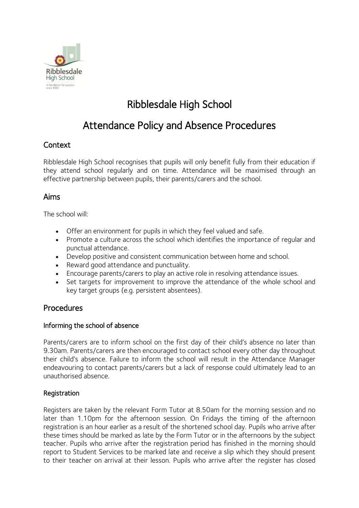

# Ribblesdale High School

# Attendance Policy and Absence Procedures

# Context

Ribblesdale High School recognises that pupils will only benefit fully from their education if they attend school regularly and on time. Attendance will be maximised through an effective partnership between pupils, their parents/carers and the school.

# Aims

The school will:

- Offer an environment for pupils in which they feel valued and safe.
- Promote a culture across the school which identifies the importance of regular and punctual attendance.
- Develop positive and consistent communication between home and school.
- Reward good attendance and punctuality.
- Encourage parents/carers to play an active role in resolving attendance issues.
- Set targets for improvement to improve the attendance of the whole school and key target groups (e.g. persistent absentees).

# Procedures

## Informing the school of absence

Parents/carers are to inform school on the first day of their child's absence no later than 9.30am. Parents/carers are then encouraged to contact school every other day throughout their child's absence. Failure to inform the school will result in the Attendance Manager endeavouring to contact parents/carers but a lack of response could ultimately lead to an unauthorised absence.

## Registration

Registers are taken by the relevant Form Tutor at 8.50am for the morning session and no later than 1.10pm for the afternoon session. On Fridays the timing of the afternoon registration is an hour earlier as a result of the shortened school day. Pupils who arrive after these times should be marked as late by the Form Tutor or in the afternoons by the subject teacher. Pupils who arrive after the registration period has finished in the morning should report to Student Services to be marked late and receive a slip which they should present to their teacher on arrival at their lesson. Pupils who arrive after the register has closed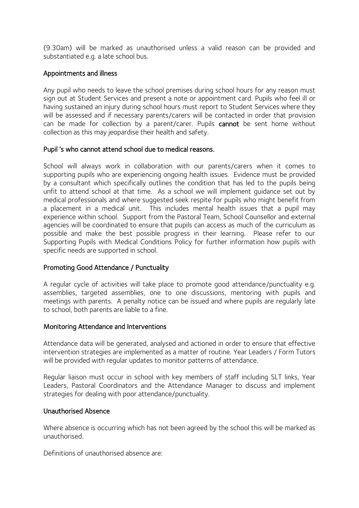(9.30am) will be marked as unauthorised unless a valid reason can be provided and substantiated e.g. a late school bus.

### Appointments and illness

Any pupil who needs to leave the school premises during school hours for any reason must sign out at Student Services and present a note or appointment card. Pupils who feel ill or having sustained an injury during school hours must report to Student Services where they will be assessed and if necessary parents/carers will be contacted in order that provision can be made for collection by a parent/carer. Pupils cannot be sent home without collection as this may jeopardise their health and safety.

#### Pupil 's who cannot attend school due to medical reasons.

School will always work in collaboration with our parents/carers when it comes to supporting pupils who are experiencing ongoing health issues. Evidence must be provided by a consultant which specifically outlines the condition that has led to the pupils being unfit to attend school at that time. As a school we will implement guidance set out by medical professionals and where suggested seek respite for pupils who might benefit from a placement in a medical unit. This includes mental health issues that a pupil may experience within school. Support from the Pastoral Team, School Counsellor and external agencies will be coordinated to ensure that pupils can access as much of the curriculum as possible and make the best possible progress in their learning. Please refer to our Supporting Pupils with Medical Conditions Policy for further information how pupils with specific needs are supported in school.

## Promoting Good Attendance / Punctuality

A regular cycle of activities will take place to promote good attendance/punctuality e.g. assemblies, targeted assemblies, one to one discussions, mentoring with pupils and meetings with parents. A penalty notice can be issued and where pupils are regularly late to school, both parents are liable to a fine.

#### Monitoring Attendance and Interventions

Attendance data will be generated, analysed and actioned in order to ensure that effective intervention strategies are implemented as a matter of routine. Year Leaders / Form Tutors will be provided with regular updates to monitor patterns of attendance.

Regular liaison must occur in school with key members of staff including SLT links, Year Leaders, Pastoral Coordinators and the Attendance Manager to discuss and implement strategies for dealing with poor attendance/punctuality.

#### Unauthorised Absence

Where absence is occurring which has not been agreed by the school this will be marked as unauthorised.

Definitions of unauthorised absence are: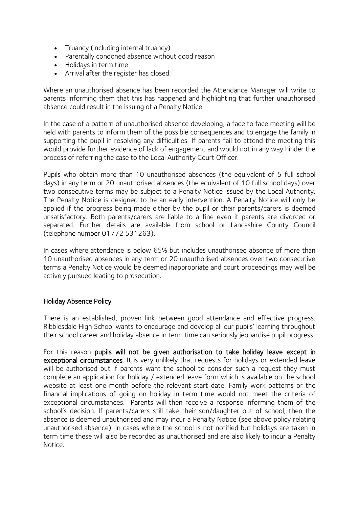- Truancy (including internal truancy)
- Parentally condoned absence without good reason
- Holidays in term time
- Arrival after the register has closed.

Where an unauthorised absence has been recorded the Attendance Manager will write to parents informing them that this has happened and highlighting that further unauthorised absence could result in the issuing of a Penalty Notice.

In the case of a pattern of unauthorised absence developing, a face to face meeting will be held with parents to inform them of the possible consequences and to engage the family in supporting the pupil in resolving any difficulties. If parents fail to attend the meeting this would provide further evidence of lack of engagement and would not in any way hinder the process of referring the case to the Local Authority Court Officer.

Pupils who obtain more than 10 unauthorised absences (the equivalent of 5 full school days) in any term or 20 unauthorised absences (the equivalent of 10 full school days) over two consecutive terms may be subject to a Penalty Notice issued by the Local Authority. The Penalty Notice is designed to be an early intervention. A Penalty Notice will only be applied if the progress being made either by the pupil or their parents/carers is deemed unsatisfactory. Both parents/carers are liable to a fine even if parents are divorced or separated. Further details are available from school or Lancashire County Council (telephone number 01772 531263).

In cases where attendance is below 65% but includes unauthorised absence of more than 10 unauthorised absences in any term or 20 unauthorised absences over two consecutive terms a Penalty Notice would be deemed inappropriate and court proceedings may well be actively pursued leading to prosecution.

#### Holiday Absence Policy

There is an established, proven link between good attendance and effective progress. Ribblesdale High School wants to encourage and develop all our pupils' learning throughout their school career and holiday absence in term time can seriously jeopardise pupil progress.

For this reason pupils will not be given authorisation to take holiday leave except in exceptional circumstances. It is very unlikely that requests for holidays or extended leave will be authorised but if parents want the school to consider such a request they must complete an application for holiday / extended leave form which is available on the school website at least one month before the relevant start date. Family work patterns or the financial implications of going on holiday in term time would not meet the criteria of exceptional circumstances. Parents will then receive a response informing them of the school's decision. If parents/carers still take their son/daughter out of school, then the absence is deemed unauthorised and may incur a Penalty Notice (see above policy relating unauthorised absence). In cases where the school is not notified but holidays are taken in term time these will also be recorded as unauthorised and are also likely to incur a Penalty Notice.